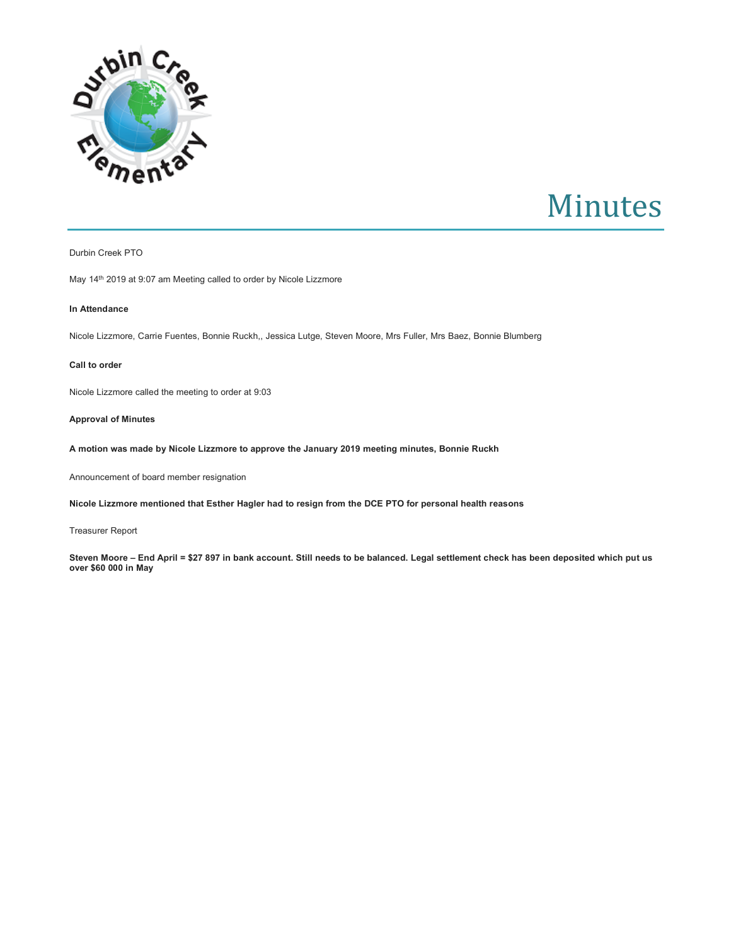

# Minutes

# Durbin Creek PTO

May 14th 2019 at 9:07 am Meeting called to order by Nicole Lizzmore

# **In Attendance**

Nicole Lizzmore, Carrie Fuentes, Bonnie Ruckh,, Jessica Lutge, Steven Moore, Mrs Fuller, Mrs Baez, Bonnie Blumberg

#### **Call to order**

Nicole Lizzmore called the meeting to order at 9:03

# **Approval of Minutes**

**A motion was made by Nicole Lizzmore to approve the January 2019 meeting minutes, Bonnie Ruckh**

Announcement of board member resignation

**Nicole Lizzmore mentioned that Esther Hagler had to resign from the DCE PTO for personal health reasons**

Treasurer Report

**Steven Moore – End April = \$27 897 in bank account. Still needs to be balanced. Legal settlement check has been deposited which put us over \$60 000 in May**